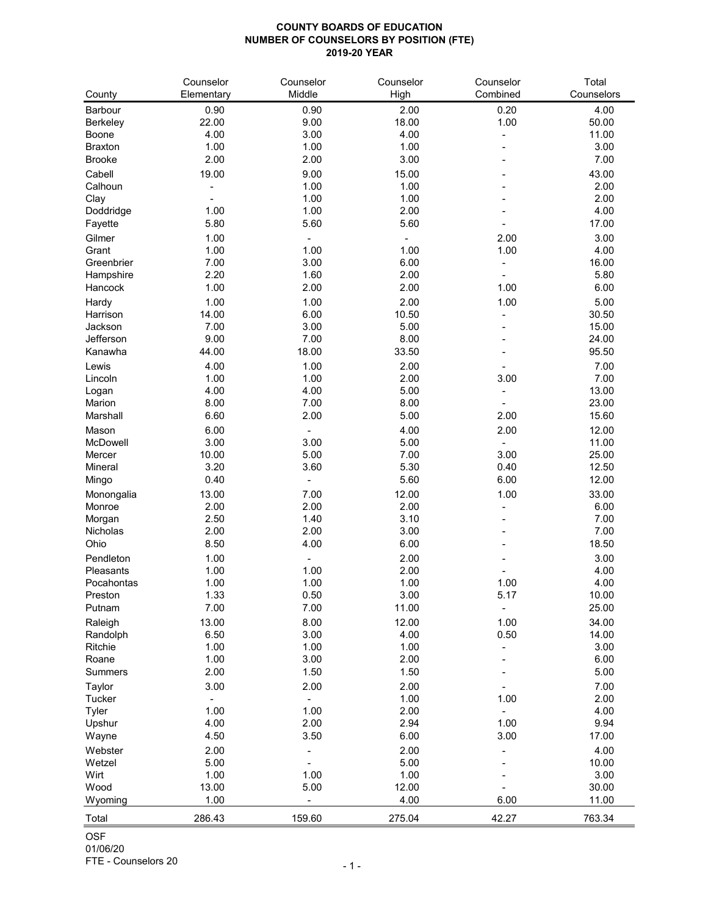## **COUNTY BOARDS OF EDUCATION NUMBER OF COUNSELORS BY POSITION (FTE) 2019-20 YEAR**

| County                          | Counselor<br>Elementary | Counselor<br>Middle      | Counselor<br>High | Counselor<br>Combined | Total<br>Counselors |
|---------------------------------|-------------------------|--------------------------|-------------------|-----------------------|---------------------|
|                                 |                         |                          |                   |                       |                     |
| <b>Barbour</b>                  | 0.90                    | 0.90                     | 2.00              | 0.20                  | 4.00                |
| <b>Berkeley</b><br><b>Boone</b> | 22.00<br>4.00           | 9.00<br>3.00             | 18.00<br>4.00     | 1.00                  | 50.00<br>11.00      |
| <b>Braxton</b>                  | 1.00                    | 1.00                     | 1.00              |                       | 3.00                |
| <b>Brooke</b>                   | 2.00                    | 2.00                     | 3.00              |                       | 7.00                |
|                                 |                         |                          |                   |                       |                     |
| Cabell                          | 19.00                   | 9.00                     | 15.00             |                       | 43.00               |
| Calhoun                         |                         | 1.00<br>1.00             | 1.00<br>1.00      |                       | 2.00<br>2.00        |
| Clay<br>Doddridge               | 1.00                    | 1.00                     | 2.00              |                       | 4.00                |
| Fayette                         | 5.80                    | 5.60                     | 5.60              |                       | 17.00               |
| Gilmer                          | 1.00                    |                          |                   | 2.00                  | 3.00                |
| Grant                           | 1.00                    | 1.00                     | 1.00              | 1.00                  | 4.00                |
| Greenbrier                      | 7.00                    | 3.00                     | 6.00              |                       | 16.00               |
| Hampshire                       | 2.20                    | 1.60                     | 2.00              |                       | 5.80                |
| Hancock                         | 1.00                    | 2.00                     | 2.00              | 1.00                  | 6.00                |
| Hardy                           | 1.00                    | 1.00                     | 2.00              | 1.00                  | 5.00                |
| Harrison                        | 14.00                   | 6.00                     | 10.50             |                       | 30.50               |
| Jackson                         | 7.00                    | 3.00                     | 5.00              |                       | 15.00               |
| Jefferson                       | 9.00                    | 7.00                     | 8.00              |                       | 24.00               |
| Kanawha                         | 44.00                   | 18.00                    | 33.50             |                       | 95.50               |
| Lewis                           | 4.00                    | 1.00                     | 2.00              |                       | 7.00                |
| Lincoln                         | 1.00                    | 1.00                     | 2.00              | 3.00                  | 7.00                |
| Logan                           | 4.00                    | 4.00                     | 5.00              |                       | 13.00               |
| <b>Marion</b>                   | 8.00                    | 7.00                     | 8.00              |                       | 23.00               |
| Marshall                        | 6.60                    | 2.00                     | 5.00              | 2.00                  | 15.60               |
| Mason                           | 6.00                    |                          | 4.00              | 2.00                  | 12.00               |
| <b>McDowell</b>                 | 3.00                    | 3.00                     | 5.00              |                       | 11.00               |
| Mercer                          | 10.00                   | 5.00                     | 7.00              | 3.00                  | 25.00               |
| Mineral                         | 3.20                    | 3.60                     | 5.30              | 0.40                  | 12.50               |
| Mingo                           | 0.40                    |                          | 5.60              | 6.00                  | 12.00               |
| Monongalia                      | 13.00                   | 7.00                     | 12.00             | 1.00                  | 33.00               |
| Monroe                          | 2.00                    | 2.00                     | 2.00              |                       | 6.00                |
| Morgan                          | 2.50                    | 1.40                     | 3.10              |                       | 7.00                |
| Nicholas                        | 2.00                    | 2.00                     | 3.00              |                       | 7.00                |
| Ohio                            | 8.50                    | 4.00                     | 6.00              |                       | 18.50               |
| Pendleton                       | 1.00                    | $\overline{\phantom{a}}$ | 2.00              |                       | 3.00                |
| Pleasants                       | 1.00                    | 1.00                     | 2.00              |                       | 4.00                |
| Pocahontas                      | 1.00                    | 1.00                     | 1.00              | 1.00                  | 4.00                |
| Preston                         | 1.33                    | 0.50                     | 3.00              | 5.17                  | 10.00               |
| Putnam                          | 7.00                    | 7.00                     | 11.00             |                       | 25.00               |
| Raleigh                         | 13.00                   | 8.00                     | 12.00             | 1.00                  | 34.00               |
| Randolph                        | 6.50                    | 3.00                     | 4.00              | 0.50                  | 14.00               |
| Ritchie                         | 1.00                    | 1.00                     | 1.00              |                       | 3.00                |
| Roane                           | 1.00                    | 3.00                     | 2.00              |                       | 6.00                |
| <b>Summers</b>                  | 2.00                    | 1.50                     | 1.50              |                       | 5.00                |
| <b>Taylor</b>                   | 3.00                    | 2.00                     | 2.00              |                       | 7.00                |
| Tucker                          |                         | -                        | 1.00              | 1.00                  | 2.00                |
| <b>Tyler</b>                    | 1.00                    | 1.00                     | 2.00              |                       | 4.00                |
| Upshur                          | 4.00                    | 2.00                     | 2.94              | 1.00                  | 9.94                |
| Wayne                           | 4.50                    | 3.50                     | 6.00              | 3.00                  | 17.00               |
| Webster                         | 2.00                    | $\overline{\phantom{a}}$ | 2.00              |                       | 4.00                |
| Wetzel                          | 5.00                    |                          | 5.00              |                       | 10.00               |
| Wirt                            | 1.00                    | 1.00                     | 1.00              |                       | 3.00                |
| Wood                            | 13.00                   | 5.00                     | 12.00             |                       | 30.00               |
| Wyoming                         | 1.00                    | ۰                        | 4.00              | 6.00                  | 11.00               |
| Total                           | 286.43                  | 159.60                   | 275.04            | 42.27                 | 763.34              |

OSF

01/06/20

FTE - Counselors 20 - 1 - 1 -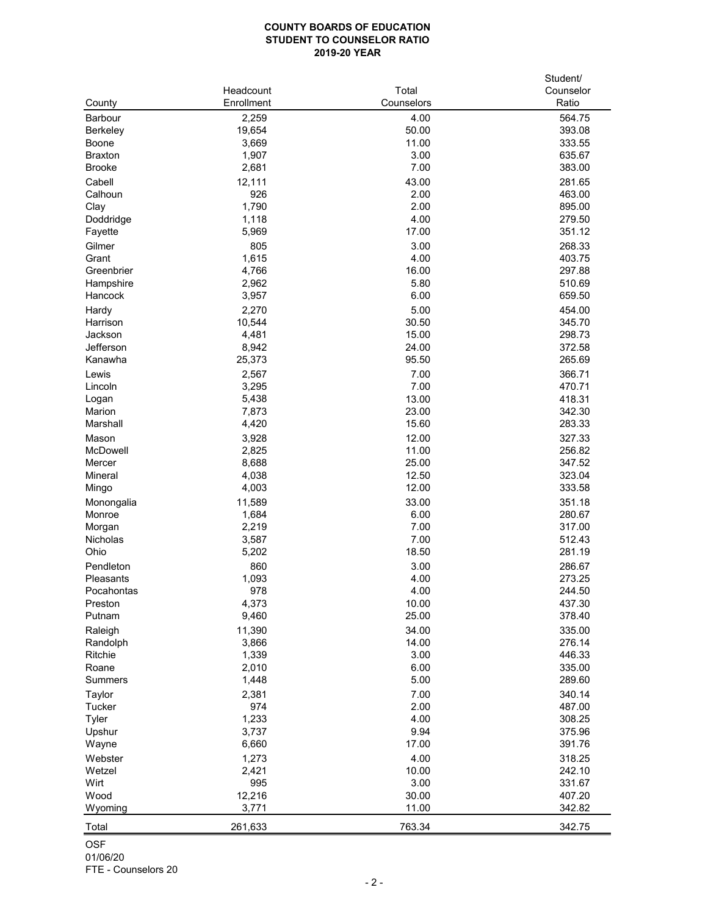## **COUNTY BOARDS OF EDUCATION STUDENT TO COUNSELOR RATIO 2019-20 YEAR**

|                      |            |              | Student/         |
|----------------------|------------|--------------|------------------|
|                      | Headcount  | Total        | Counselor        |
| County               | Enrollment | Counselors   | Ratio            |
| <b>Barbour</b>       | 2,259      | 4.00         | 564.75           |
| <b>Berkeley</b>      | 19,654     | 50.00        | 393.08           |
| <b>Boone</b>         | 3,669      | 11.00        | 333.55           |
| <b>Braxton</b>       | 1,907      | 3.00         | 635.67           |
| <b>Brooke</b>        | 2,681      | 7.00         | 383.00           |
| Cabell               | 12,111     | 43.00        | 281.65           |
| Calhoun              | 926        | 2.00         | 463.00           |
| Clay                 | 1,790      | 2.00         | 895.00           |
| Doddridge            | 1,118      | 4.00         | 279.50           |
| Fayette              | 5,969      | 17.00        | 351.12           |
| Gilmer               | 805        | 3.00         | 268.33           |
| Grant                |            | 4.00         | 403.75           |
| Greenbrier           | 1,615      | 16.00        | 297.88           |
|                      | 4,766      | 5.80         | 510.69           |
| Hampshire<br>Hancock | 2,962      | 6.00         | 659.50           |
|                      | 3,957      |              |                  |
| Hardy                | 2,270      | 5.00         | 454.00           |
| Harrison             | 10,544     | 30.50        | 345.70           |
| Jackson              | 4,481      | 15.00        | 298.73           |
| Jefferson            | 8,942      | 24.00        | 372.58           |
| Kanawha              | 25,373     | 95.50        | 265.69           |
| Lewis                | 2,567      | 7.00         | 366.71           |
| Lincoln              | 3,295      | 7.00         | 470.71           |
| Logan                | 5,438      | 13.00        | 418.31           |
| <b>Marion</b>        | 7,873      | 23.00        | 342.30           |
| Marshall             | 4,420      | 15.60        | 283.33           |
| Mason                | 3,928      | 12.00        | 327.33           |
| McDowell             | 2,825      | 11.00        | 256.82           |
| Mercer               | 8,688      | 25.00        | 347.52           |
| <b>Mineral</b>       | 4,038      | 12.50        | 323.04           |
| Mingo                | 4,003      | 12.00        | 333.58           |
| Monongalia           | 11,589     | 33.00        | 351.18           |
| Monroe               | 1,684      | 6.00         | 280.67           |
| Morgan               | 2,219      | 7.00         | 317.00           |
| <b>Nicholas</b>      | 3,587      | 7.00         | 512.43           |
| Ohio                 | 5,202      | 18.50        | 281.19           |
|                      |            |              |                  |
| Pendleton            | 860        | 3.00<br>4.00 | 286.67<br>273.25 |
| <b>Pleasants</b>     | 1,093      |              |                  |
| Pocahontas           | 978        | 4.00         | 244.50           |
| Preston              | 4,373      | 10.00        | 437.30           |
| Putnam               | 9,460      | 25.00        | 378.40           |
| Raleigh              | 11,390     | 34.00        | 335.00           |
| Randolph             | 3,866      | 14.00        | 276.14           |
| Ritchie              | 1,339      | 3.00         | 446.33           |
| Roane                | 2,010      | 6.00         | 335.00           |
| <b>Summers</b>       | 1,448      | 5.00         | 289.60           |
| <b>Taylor</b>        | 2,381      | 7.00         | 340.14           |
| <b>Tucker</b>        | 974        | 2.00         | 487.00           |
| <b>Tyler</b>         | 1,233      | 4.00         | 308.25           |
| Upshur               | 3,737      | 9.94         | 375.96           |
| Wayne                | 6,660      | 17.00        | 391.76           |
| Webster              | 1,273      | 4.00         | 318.25           |
| Wetzel               | 2,421      | 10.00        | 242.10           |
| Wirt                 | 995        | 3.00         | 331.67           |
| Wood                 | 12,216     | 30.00        | 407.20           |
| Wyoming              | 3,771      | 11.00        | 342.82           |
| Total                | 261,633    | 763.34       | 342.75           |
|                      |            |              |                  |

OSF 01/06/20

FTE - Counselors 20